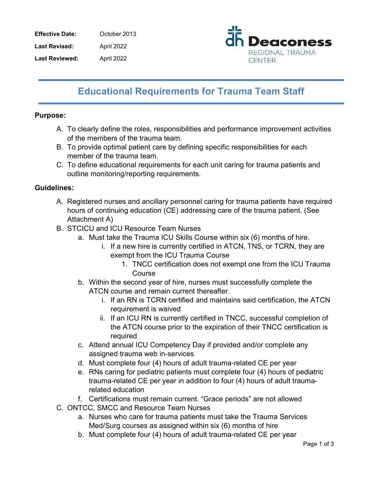Effective Date: October 2013 Last Revised: April 2022 Last Reviewed: April 2022



# Educational Requirements for Trauma Team Staff

### Purpose:

- A. To clearly define the roles, responsibilities and performance improvement activities of the members of the trauma team.
- B. To provide optimal patient care by defining specific responsibilities for each member of the trauma team.
- C. To define educational requirements for each unit caring for trauma patients and outline monitoring/reporting requirements.

## Guidelines:

- A. Registered nurses and ancillary personnel caring for trauma patients have required hours of continuing education (CE) addressing care of the trauma patient. (See Attachment A)
- B. STCICU and ICU Resource Team Nurses
	- a. Must take the Trauma ICU Skills Course within six (6) months of hire.
		- i. If a new hire is currently certified in ATCN, TNS, or TCRN, they are exempt from the ICU Trauma Course
			- 1. TNCC certification does not exempt one from the ICU Trauma Course
	- b. Within the second year of hire, nurses must successfully complete the ATCN course and remain current thereafter.
		- i. If an RN is TCRN certified and maintains said certification, the ATCN requirement is waived
		- ii. If an ICU RN is currently certified in TNCC, successful completion of the ATCN course prior to the expiration of their TNCC certification is required
	- c. Attend annual ICU Competency Day if provided and/or complete any assigned trauma web in-services
	- d. Must complete four (4) hours of adult trauma-related CE per year
	- e. RNs caring for pediatric patients must complete four (4) hours of pediatric trauma-related CE per year in addition to four (4) hours of adult traumarelated education
	- f. Certifications must remain current. "Grace periods" are not allowed
- C. ONTCC, SMCC and Resource Team Nurses
	- a. Nurses who care for trauma patients must take the Trauma Services Med/Surg courses as assigned within six (6) months of hire
	- b. Must complete four (4) hours of adult trauma-related CE per year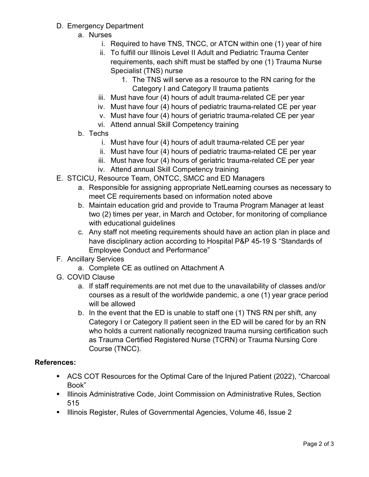- D. Emergency Department
	- a. Nurses
		- i. Required to have TNS, TNCC, or ATCN within one (1) year of hire
		- ii. To fulfill our Illinois Level II Adult and Pediatric Trauma Center requirements, each shift must be staffed by one (1) Trauma Nurse Specialist (TNS) nurse
			- 1. The TNS will serve as a resource to the RN caring for the Category I and Category II trauma patients
		- iii. Must have four (4) hours of adult trauma-related CE per year
		- iv. Must have four (4) hours of pediatric trauma-related CE per year
		- v. Must have four (4) hours of geriatric trauma-related CE per year
		- vi. Attend annual Skill Competency training
	- b. Techs
		- i. Must have four (4) hours of adult trauma-related CE per year
		- ii. Must have four (4) hours of pediatric trauma-related CE per year
		- iii. Must have four (4) hours of geriatric trauma-related CE per year
		- iv. Attend annual Skill Competency training
- E. STCICU, Resource Team, ONTCC, SMCC and ED Managers
	- a. Responsible for assigning appropriate NetLearning courses as necessary to meet CE requirements based on information noted above
	- b. Maintain education grid and provide to Trauma Program Manager at least two (2) times per year, in March and October, for monitoring of compliance with educational guidelines
	- c. Any staff not meeting requirements should have an action plan in place and have disciplinary action according to Hospital P&P 45-19 S "Standards of Employee Conduct and Performance"
- F. Ancillary Services
	- a. Complete CE as outlined on Attachment A
- G. COVID Clause
	- a. If staff requirements are not met due to the unavailability of classes and/or courses as a result of the worldwide pandemic, a one (1) year grace period will be allowed
	- b. In the event that the ED is unable to staff one (1) TNS RN per shift, any Category I or Category II patient seen in the ED will be cared for by an RN who holds a current nationally recognized trauma nursing certification such as Trauma Certified Registered Nurse (TCRN) or Trauma Nursing Core Course (TNCC).

### References:

- ACS COT Resources for the Optimal Care of the Injured Patient (2022), "Charcoal Book"
- **Illinois Administrative Code, Joint Commission on Administrative Rules, Section** 515
- **Illinois Register, Rules of Governmental Agencies, Volume 46, Issue 2**